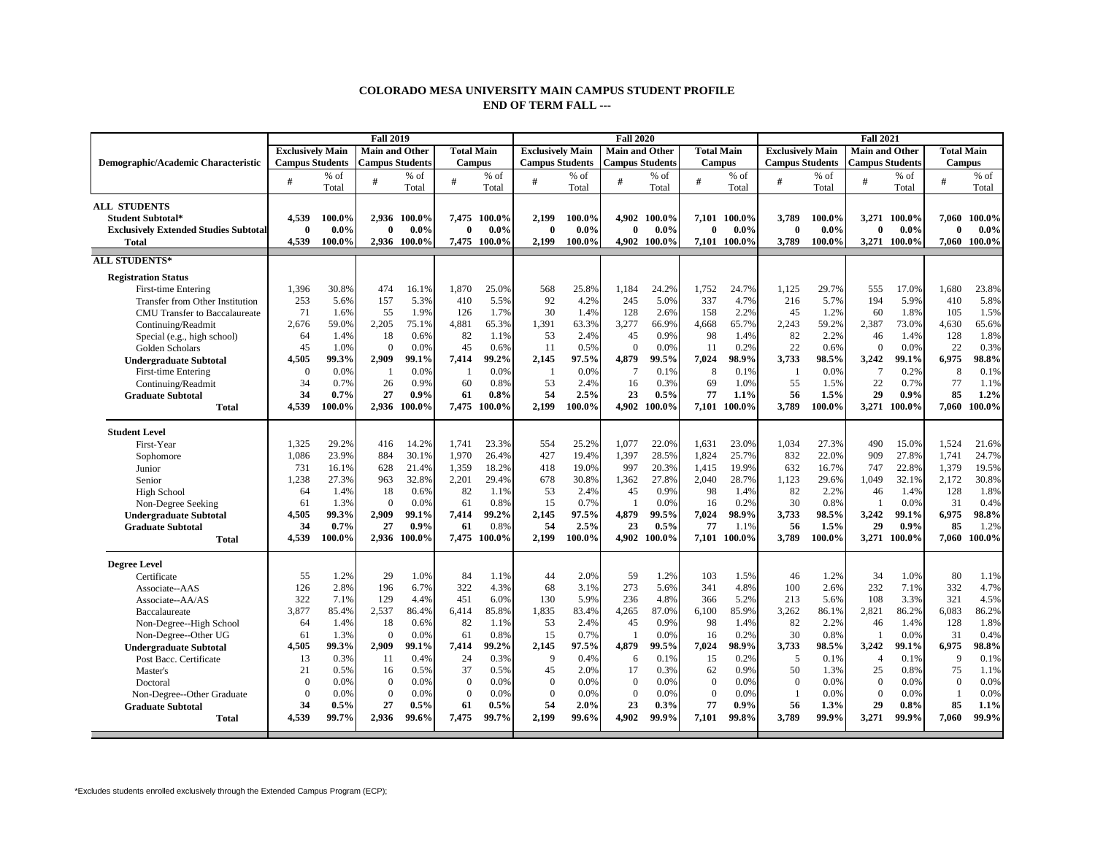## **COLORADO MESA UNIVERSITY MAIN CAMPUS STUDENT PROFILE END OF TERM FALL ---**

|                                              |                         |         | <b>Fall 2019</b>       |              |                   |              |                         | <b>Fall 2020</b> |                        |              | <b>Fall 2021</b>  |              |                         |         |                        |              |                   |         |
|----------------------------------------------|-------------------------|---------|------------------------|--------------|-------------------|--------------|-------------------------|------------------|------------------------|--------------|-------------------|--------------|-------------------------|---------|------------------------|--------------|-------------------|---------|
|                                              | <b>Exclusively Main</b> |         | <b>Main and Other</b>  |              | <b>Total Main</b> |              | <b>Exclusively Main</b> |                  | <b>Main and Other</b>  |              | <b>Total Main</b> |              | <b>Exclusively Main</b> |         | <b>Main and Other</b>  |              | <b>Total Main</b> |         |
| Demographic/Academic Characteristic          | <b>Campus Students</b>  |         | <b>Campus Students</b> |              | <b>Campus</b>     |              | <b>Campus Students</b>  |                  | <b>Campus Students</b> |              | <b>Campus</b>     |              | <b>Campus Students</b>  |         | <b>Campus Students</b> |              | <b>Campus</b>     |         |
|                                              | #                       | $%$ of  | #                      | $%$ of       | #                 | $%$ of       | #                       | % of             | #                      | % of         | $\overline{H}$    | % of         | #                       | $%$ of  | #                      | % of         | #                 | % of    |
|                                              |                         | Total   |                        | Total        |                   | Total        |                         | Total            |                        | Total        |                   | Total        |                         | Total   |                        | Total        |                   | Total   |
| <b>ALL STUDENTS</b>                          |                         |         |                        |              |                   |              |                         |                  |                        |              |                   |              |                         |         |                        |              |                   |         |
| <b>Student Subtotal*</b>                     | 4.539                   | 100.0%  |                        | 2.936 100.0% | 7.475             | 100.0%       | 2,199                   | 100.0%           |                        | 4.902 100.0% |                   | 7.101 100.0% | 3.789                   | 100.0%  |                        | 3,271 100.0% | 7.060             | 100.0%  |
| <b>Exclusively Extended Studies Subtotal</b> | $\theta$                | $0.0\%$ | 0                      | $0.0\%$      | $\bf{0}$          | $0.0\%$      | $\theta$                | $0.0\%$          | $\bf{0}$               | $0.0\%$      | $\bf{0}$          | $0.0\%$      | $\theta$                | $0.0\%$ | $\theta$               | $0.0\%$      | $\bf{0}$          | $0.0\%$ |
| Total                                        | 4.539                   | 100.0%  |                        | 2.936 100.0% |                   | 7.475 100.0% | 2.199                   | 100.0%           |                        | 4.902 100.0% |                   | 7.101 100.0% | 3.789                   | 100.0%  |                        | 3.271 100.0% | 7.060             | 100.0%  |
| <b>ALL STUDENTS*</b>                         |                         |         |                        |              |                   |              |                         |                  |                        |              |                   |              |                         |         |                        |              |                   |         |
| <b>Registration Status</b>                   |                         |         |                        |              |                   |              |                         |                  |                        |              |                   |              |                         |         |                        |              |                   |         |
| First-time Entering                          | 1.396                   | 30.8%   | 474                    | 16.1%        | 1.870             | 25.0%        | 568                     | 25.8%            | 1.184                  | 24.2%        | 1.752             | 24.7%        | 1.125                   | 29.7%   | 555                    | 17.0%        | 1.680             | 23.8%   |
| Transfer from Other Institution              | 253                     | 5.6%    | 157                    | 5.3%         | 410               | 5.5%         | 92                      | 4.2%             | 245                    | 5.0%         | 337               | 4.7%         | 216                     | 5.7%    | 194                    | 5.9%         | 410               | 5.8%    |
| CMU Transfer to Baccalaureate                | 71                      | 1.6%    | 55                     | 1.9%         | 126               | 1.7%         | 30                      | 1.4%             | 128                    | 2.6%         | 158               | 2.2%         | 45                      | 1.2%    | 60                     | 1.8%         | 105               | 1.5%    |
| Continuing/Readmit                           | 2,676                   | 59.0%   | 2,205                  | 75.1%        | 4,881             | 65.3%        | 1,391                   | 63.3%            | 3,277                  | 66.9%        | 4,668             | 65.7%        | 2,243                   | 59.2%   | 2,387                  | 73.0%        | 4,630             | 65.6%   |
| Special (e.g., high school)                  | 64                      | 1.4%    | 18                     | 0.6%         | 82                | 1.1%         | 53                      | 2.4%             | 45                     | 0.9%         | 98                | 1.4%         | 82                      | 2.2%    | 46                     | 1.4%         | 128               | 1.8%    |
| Golden Scholars                              | 45                      | 1.0%    | $\mathbf{0}$           | 0.0%         | 45                | 0.6%         | 11                      | 0.5%             | $\mathbf{0}$           | 0.0%         | 11                | 0.2%         | 22                      | 0.6%    | $\mathbf{0}$           | 0.0%         | 22                | 0.3%    |
| <b>Undergraduate Subtotal</b>                | 4.505                   | 99.3%   | 2.909                  | 99.1%        | 7,414             | 99.2%        | 2.145                   | 97.5%            | 4.879                  | 99.5%        | 7,024             | 98.9%        | 3,733                   | 98.5%   | 3,242                  | 99.1%        | 6,975             | 98.8%   |
| <b>First-time Entering</b>                   | $\mathbf{0}$            | 0.0%    | -1                     | 0.0%         | -1                | 0.0%         | $\mathbf{1}$            | 0.0%             | $7\phantom{.0}$        | 0.1%         | 8                 | 0.1%         | -1                      | 0.0%    | $7\phantom{.0}$        | 0.2%         | 8                 | 0.1%    |
| Continuing/Readmit                           | 34                      | 0.7%    | 26                     | 0.9%         | 60                | 0.8%         | 53                      | 2.4%             | 16                     | 0.3%         | 69                | 1.0%         | 55                      | 1.5%    | 22                     | 0.7%         | 77                | 1.1%    |
| <b>Graduate Subtotal</b>                     | 34                      | 0.7%    | 27                     | 0.9%         | 61                | 0.8%         | 54                      | 2.5%             | 23                     | 0.5%         | 77                | 1.1%         | 56                      | 1.5%    | 29                     | $0.9\%$      | 85                | 1.2%    |
| <b>Total</b>                                 | 4.539                   | 100.0%  | 2,936                  | 100.0%       |                   | 7.475 100.0% | 2.199                   | 100.0%           |                        | 4.902 100.0% |                   | 7.101 100.0% | 3.789                   | 100.0%  | 3,271                  | 100.0%       | 7.060             | 100.0%  |
|                                              |                         |         |                        |              |                   |              |                         |                  |                        |              |                   |              |                         |         |                        |              |                   |         |
| <b>Student Level</b>                         |                         |         |                        |              |                   |              |                         |                  |                        |              |                   |              |                         |         |                        |              |                   |         |
| First-Year                                   | 1.325                   | 29.2%   | 416                    | 14.2%        | 1.741             | 23.3%        | 554                     | 25.2%            | 1.077                  | 22.0%        | 1.631             | 23.0%        | 1.034                   | 27.3%   | 490                    | 15.0%        | 1.524             | 21.6%   |
| Sophomore                                    | 1,086                   | 23.9%   | 884                    | 30.1%        | 1,970             | 26.4%        | 427                     | 19.4%            | 1,397                  | 28.5%        | 1,824             | 25.7%        | 832                     | 22.0%   | 909                    | 27.8%        | 1,741             | 24.7%   |
| Junior                                       | 731                     | 16.1%   | 628                    | 21.4%        | 1,359             | 18.2%        | 418                     | 19.0%            | 997                    | 20.3%        | 1.415             | 19.9%        | 632                     | 16.7%   | 747                    | 22.8%        | 1,379             | 19.5%   |
| Senior                                       | 1,238                   | 27.3%   | 963                    | 32.8%        | 2,201             | 29.4%        | 678                     | 30.8%            | 1,362                  | 27.8%        | 2,040             | 28.7%        | 1,123                   | 29.6%   | 1,049                  | 32.1%        | 2,172             | 30.8%   |
| <b>High School</b>                           | 64                      | 1.4%    | 18                     | 0.6%         | 82                | 1.1%         | 53                      | 2.4%             | 45                     | 0.9%         | 98                | 1.4%         | 82                      | 2.2%    | 46                     | 1.4%         | 128               | 1.8%    |
| Non-Degree Seeking                           | 61                      | 1.3%    | $\mathbf{0}$           | 0.0%         | 61                | 0.8%         | 15                      | 0.7%             | $\overline{1}$         | 0.0%         | 16                | 0.2%         | 30                      | 0.8%    | $\mathbf{1}$           | 0.0%         | 31                | 0.4%    |
| <b>Undergraduate Subtotal</b>                | 4.505                   | 99.3%   | 2,909                  | 99.1%        | 7,414             | 99.2%        | 2,145                   | 97.5%            | 4,879                  | 99.5%        | 7,024             | 98.9%        | 3,733                   | 98.5%   | 3,242                  | 99.1%        | 6,975             | 98.8%   |
| <b>Graduate Subtotal</b>                     | 34                      | 0.7%    | 27                     | 0.9%         | 61                | 0.8%         | 54                      | 2.5%             | 23                     | 0.5%         | 77                | 1.1%         | 56                      | 1.5%    | 29                     | 0.9%         | 85                | 1.2%    |
| <b>Total</b>                                 | 4.539                   | 100.0%  | 2.936                  | 100.0%       | 7.475             | $100.0\%$    | 2.199                   | 100.0%           | 4.902                  | 100.0%       | 7.101             | $100.0\%$    | 3.789                   | 100.0%  | 3,271                  | 100.0%       | 7.060             | 100.0%  |
| <b>Degree Level</b>                          |                         |         |                        |              |                   |              |                         |                  |                        |              |                   |              |                         |         |                        |              |                   |         |
| Certificate                                  | 55                      | 1.2%    | 29                     | 1.0%         | 84                | 1.1%         | 44                      | 2.0%             | 59                     | 1.2%         | 103               | 1.5%         | 46                      | 1.2%    | 34                     | 1.0%         | 80                | 1.1%    |
| Associate--AAS                               | 126                     | 2.8%    | 196                    | 6.7%         | 322               | 4.3%         | 68                      | 3.1%             | 273                    | 5.6%         | 341               | 4.8%         | 100                     | 2.6%    | 232                    | 7.1%         | 332               | 4.7%    |
| Associate--AA/AS                             | 322                     | 7.1%    | 129                    | 4.4%         | 451               | 6.0%         | 130                     | 5.9%             | 236                    | 4.8%         | 366               | 5.2%         | 213                     | 5.6%    | 108                    | 3.3%         | 321               | 4.5%    |
| Baccalaureate                                | 3.877                   | 85.4%   | 2,537                  | 86.4%        | 6,414             | 85.8%        | 1,835                   | 83.4%            | 4,265                  | 87.0%        | 6,100             | 85.9%        | 3,262                   | 86.1%   | 2,821                  | 86.2%        | 6,083             | 86.2%   |
| Non-Degree--High School                      | 64                      | 1.4%    | 18                     | 0.6%         | 82                | 1.1%         | 53                      | 2.4%             | 45                     | 0.9%         | 98                | 1.4%         | 82                      | 2.2%    | 46                     | 1.4%         | 128               | 1.8%    |
| Non-Degree--Other UG                         | 61                      | 1.3%    | $\mathbf{0}$           | 0.0%         | 61                | 0.8%         | 15                      | 0.7%             | -1                     | 0.0%         | 16                | 0.2%         | 30                      | 0.8%    | $\mathbf{1}$           | 0.0%         | 31                | 0.4%    |
| <b>Undergraduate Subtotal</b>                | 4.505                   | 99.3%   | 2.909                  | 99.1%        | 7,414             | 99.2%        | 2.145                   | 97.5%            | 4,879                  | 99.5%        | 7.024             | 98.9%        | 3,733                   | 98.5%   | 3,242                  | 99.1%        | 6.975             | 98.8%   |
| Post Bacc. Certificate                       | 13                      | 0.3%    | 11                     | 0.4%         | 24                | 0.3%         | 9                       | 0.4%             | 6                      | 0.1%         | 15                | 0.2%         | 5                       | 0.1%    | $\overline{4}$         | 0.1%         | 9                 | 0.1%    |
| Master's                                     | 21                      | 0.5%    | 16                     | 0.5%         | 37                | 0.5%         | 45                      | 2.0%             | 17                     | 0.3%         | 62                | 0.9%         | 50                      | 1.3%    | 25                     | 0.8%         | 75                | 1.1%    |
|                                              | $\mathbf{0}$            | 0.0%    | $\overline{0}$         | 0.0%         | $\mathbf{0}$      | 0.0%         | $\overline{0}$          | 0.0%             | $\mathbf{0}$           | 0.0%         | $\mathbf{0}$      | 0.0%         | $\mathbf{0}$            | 0.0%    | $\boldsymbol{0}$       | 0.0%         | $\mathbf{0}$      | 0.0%    |
| Doctoral                                     | $\Omega$                | 0.0%    | $\mathbf{0}$           | 0.0%         | $\overline{0}$    | 0.0%         | $\overline{0}$          | 0.0%             | $\mathbf{0}$           | 0.0%         | $\mathbf{0}$      | 0.0%         | $\mathbf{1}$            | 0.0%    | $\overline{0}$         | 0.0%         | -1                | 0.0%    |
| Non-Degree--Other Graduate                   | 34                      | 0.5%    | 27                     | 0.5%         | 61                | 0.5%         | 54                      | 2.0%             | 23                     | 0.3%         | 77                | 0.9%         | 56                      | 1.3%    | 29                     | 0.8%         | 85                | 1.1%    |
| <b>Graduate Subtotal</b>                     | 4.539                   |         |                        |              |                   |              |                         |                  |                        |              |                   |              |                         |         |                        | 99.9%        |                   |         |
| <b>Total</b>                                 |                         | 99.7%   | 2.936                  | 99.6%        | 7.475             | 99.7%        | 2.199                   | 99.6%            | 4.902                  | 99.9%        | 7.101             | 99.8%        | 3.789                   | 99.9%   | 3.271                  |              | 7.060             | 99.9%   |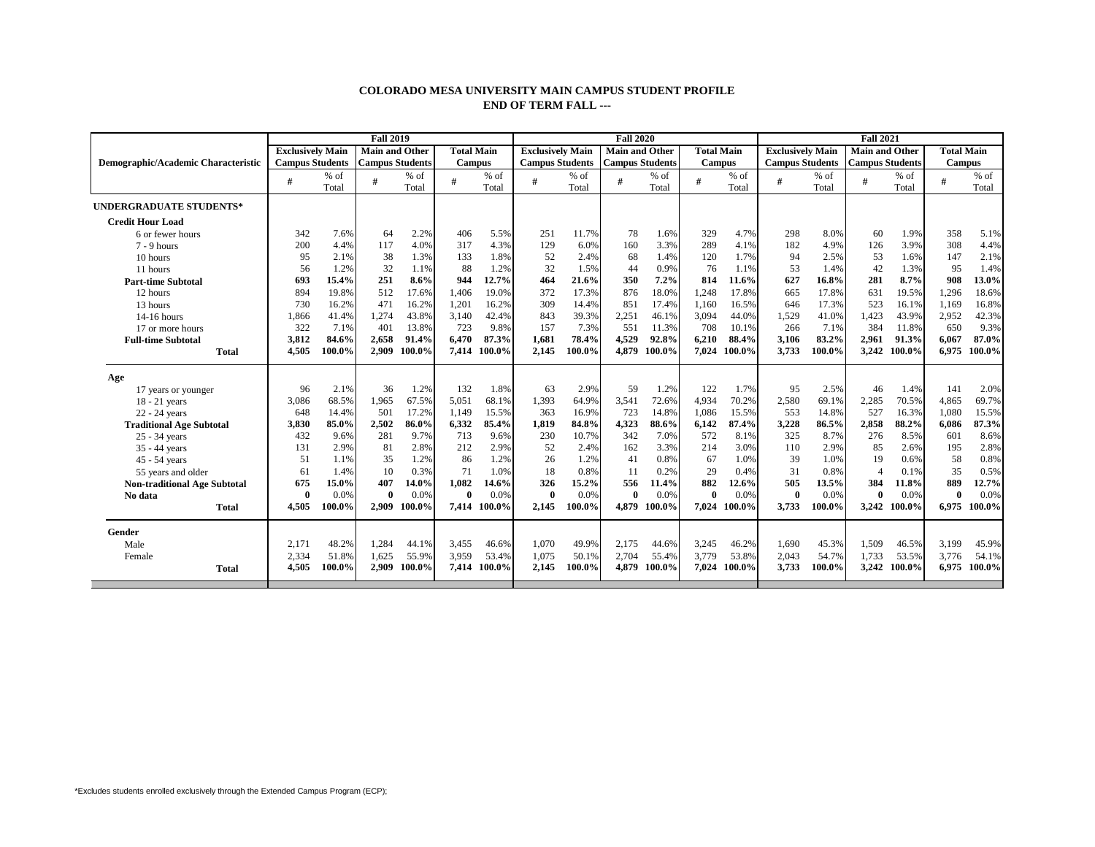## **COLORADO MESA UNIVERSITY MAIN CAMPUS STUDENT PROFILE END OF TERM FALL ---**

|                                     |                         |        | <b>Fall 2019</b>       |              |                   |              |                         |        | <b>Fall 2020</b>       |        |                   | <b>Fall 2021</b> |                         |        |                        |        |                   |        |  |
|-------------------------------------|-------------------------|--------|------------------------|--------------|-------------------|--------------|-------------------------|--------|------------------------|--------|-------------------|------------------|-------------------------|--------|------------------------|--------|-------------------|--------|--|
|                                     | <b>Exclusively Main</b> |        | <b>Main and Other</b>  |              | <b>Total Main</b> |              | <b>Exclusively Main</b> |        | <b>Main and Other</b>  |        | <b>Total Main</b> |                  | <b>Exclusively Main</b> |        | <b>Main and Other</b>  |        | <b>Total Main</b> |        |  |
| Demographic/Academic Characteristic | <b>Campus Students</b>  |        | <b>Campus Students</b> |              | <b>Campus</b>     |              | <b>Campus Students</b>  |        | <b>Campus Students</b> |        | <b>Campus</b>     |                  | <b>Campus Students</b>  |        | <b>Campus Students</b> |        | <b>Campus</b>     |        |  |
|                                     | #                       | $%$ of | #                      | $%$ of       |                   | $%$ of       | #                       | $%$ of |                        | $%$ of | #                 | % of             | #                       | $%$ of | #                      | $%$ of | #                 | $%$ of |  |
|                                     |                         | Total  |                        | Total        |                   | Total        |                         | Total  |                        | Total  |                   | Total            |                         | Total  |                        | Total  |                   | Total  |  |
| <b>UNDERGRADUATE STUDENTS*</b>      |                         |        |                        |              |                   |              |                         |        |                        |        |                   |                  |                         |        |                        |        |                   |        |  |
| <b>Credit Hour Load</b>             |                         |        |                        |              |                   |              |                         |        |                        |        |                   |                  |                         |        |                        |        |                   |        |  |
| 6 or fewer hours                    | 342                     | 7.6%   | 64                     | 2.2%         | 406               | 5.5%         | 251                     | 11.7%  | 78                     | 1.6%   | 329               | 4.7%             | 298                     | 8.0%   | 60                     | 1.9%   | 358               | 5.1%   |  |
| $7 - 9$ hours                       | 200                     | 4.4%   | 117                    | 4.0%         | 317               | 4.3%         | 129                     | 6.0%   | 160                    | 3.3%   | 289               | 4.1%             | 182                     | 4.9%   | 126                    | 3.9%   | 308               | 4.4%   |  |
| 10 hours                            | 95                      | 2.1%   | 38                     | 1.3%         | 133               | 1.8%         | 52                      | 2.4%   | 68                     | 1.4%   | 120               | 1.7%             | 94                      | 2.5%   | 53                     | 1.6%   | 147               | 2.1%   |  |
| 11 hours                            | 56                      | 1.2%   | 32                     | 1.1%         | 88                | 1.2%         | 32                      | 1.5%   | 44                     | 0.9%   | 76                | 1.1%             | 53                      | 1.4%   | 42                     | 1.3%   | 95                | 1.4%   |  |
| <b>Part-time Subtotal</b>           | 693                     | 15.4%  | 251                    | 8.6%         | 944               | 12.7%        | 464                     | 21.6%  | 350                    | 7.2%   | 814               | 11.6%            | 627                     | 16.8%  | 281                    | 8.7%   | 908               | 13.0%  |  |
| 12 hours                            | 894                     | 19.8%  | 512                    | 17.6%        | 1,406             | 19.0%        | 372                     | 17.3%  | 876                    | 18.0%  | 1,248             | 17.8%            | 665                     | 17.8%  | 631                    | 19.5%  | 1,296             | 18.6%  |  |
| 13 hours                            | 730                     | 16.2%  | 471                    | 16.2%        | 1,201             | 16.2%        | 309                     | 14.4%  | 851                    | 17.4%  | 1.160             | 16.5%            | 646                     | 17.3%  | 523                    | 16.1%  | 1,169             | 16.8%  |  |
| $14-16$ hours                       | 1.866                   | 41.4%  | 1,274                  | 43.8%        | 3,140             | 42.4%        | 843                     | 39.3%  | 2,251                  | 46.1%  | 3,094             | 44.0%            | 1,529                   | 41.0%  | 1,423                  | 43.9%  | 2,952             | 42.3%  |  |
| 17 or more hours                    | 322                     | 7.1%   | 401                    | 13.8%        | 723               | 9.8%         | 157                     | 7.3%   | 551                    | 11.3%  | 708               | 10.1%            | 266                     | 7.1%   | 384                    | 11.8%  | 650               | 9.3%   |  |
| <b>Full-time Subtotal</b>           | 3,812                   | 84.6%  | 2,658                  | 91.4%        | 6,470             | 87.3%        | 1,681                   | 78.4%  | 4,529                  | 92.8%  | 6,210             | 88.4%            | 3,106                   | 83.2%  | 2,961                  | 91.3%  | 6,067             | 87.0%  |  |
| <b>Total</b>                        | 4,505                   | 100.0% | 2,909                  | 100.0%       | 7,414             | 100.0%       | 2.145                   | 100.0% | 4.879                  | 100.0% | 7,024             | 100.0%           | 3,733                   | 100.0% | 3,242                  | 100.0% | 6.975             | 100.0% |  |
| Age                                 |                         |        |                        |              |                   |              |                         |        |                        |        |                   |                  |                         |        |                        |        |                   |        |  |
| 17 years or younger                 | 96                      | 2.1%   | 36                     | 1.2%         | 132               | 1.8%         | 63                      | 2.9%   | 59                     | 1.2%   | 122               | 1.7%             | 95                      | 2.5%   | 46                     | 1.4%   | 141               | 2.0%   |  |
| 18 - 21 years                       | 3,086                   | 68.5%  | 1,965                  | 67.5%        | 5,051             | 68.1%        | 1,393                   | 64.9%  | 3,541                  | 72.6%  | 4,934             | 70.2%            | 2,580                   | 69.1%  | 2,285                  | 70.5%  | 4,865             | 69.7%  |  |
| 22 - 24 years                       | 648                     | 14.4%  | 501                    | 17.2%        | 1,149             | 15.5%        | 363                     | 16.9%  | 723                    | 14.8%  | 1.086             | 15.5%            | 553                     | 14.8%  | 527                    | 16.3%  | 1.080             | 15.5%  |  |
| <b>Traditional Age Subtotal</b>     | 3,830                   | 85.0%  | 2,502                  | 86.0%        | 6,332             | 85.4%        | 1,819                   | 84.8%  | 4,323                  | 88.6%  | 6,142             | 87.4%            | 3,228                   | 86.5%  | 2,858                  | 88.2%  | 6,086             | 87.3%  |  |
| 25 - 34 years                       | 432                     | 9.6%   | 281                    | 9.7%         | 713               | 9.6%         | 230                     | 10.7%  | 342                    | 7.0%   | 572               | 8.1%             | 325                     | 8.7%   | 276                    | 8.5%   | 601               | 8.6%   |  |
| 35 - 44 years                       | 131                     | 2.9%   | 81                     | 2.8%         | 212               | 2.9%         | 52                      | 2.4%   | 162                    | 3.3%   | 214               | 3.0%             | 110                     | 2.9%   | 85                     | 2.6%   | 195               | 2.8%   |  |
| 45 - 54 years                       | 51                      | 1.1%   | 35                     | 1.2%         | 86                | 1.2%         | 26                      | 1.2%   | 41                     | 0.8%   | 67                | 1.0%             | 39                      | 1.0%   | 19                     | 0.6%   | 58                | 0.8%   |  |
| 55 years and older                  | 61                      | 1.4%   | 10                     | 0.3%         | 71                | 1.0%         | 18                      | 0.8%   | 11                     | 0.2%   | 29                | 0.4%             | 31                      | 0.8%   | $\overline{4}$         | 0.1%   | 35                | 0.5%   |  |
| <b>Non-traditional Age Subtotal</b> | 675                     | 15.0%  | 407                    | 14.0%        | 1,082             | 14.6%        | 326                     | 15.2%  | 556                    | 11.4%  | 882               | 12.6%            | 505                     | 13.5%  | 384                    | 11.8%  | 889               | 12.7%  |  |
| No data                             | $\mathbf{0}$            | 0.0%   | $\mathbf{0}$           | 0.0%         | $\mathbf{0}$      | 0.0%         | $\mathbf{0}$            | 0.0%   | $\mathbf{0}$           | 0.0%   | $\mathbf{0}$      | 0.0%             | $\theta$                | 0.0%   | $\theta$               | 0.0%   | $\theta$          | 0.0%   |  |
| <b>Total</b>                        | 4,505                   | 100.0% |                        | 2,909 100.0% |                   | 7,414 100.0% | 2,145                   | 100.0% | 4.879                  | 100.0% | 7.024             | 100.0%           | 3,733                   | 100.0% | 3,242                  | 100.0% | 6,975             | 100.0% |  |
| Gender                              |                         |        |                        |              |                   |              |                         |        |                        |        |                   |                  |                         |        |                        |        |                   |        |  |
| Male                                | 2,171                   | 48.2%  | 1,284                  | 44.1%        | 3,455             | 46.6%        | 1,070                   | 49.9%  | 2,175                  | 44.6%  | 3,245             | 46.2%            | 1,690                   | 45.3%  | 1,509                  | 46.5%  | 3,199             | 45.9%  |  |
| Female                              | 2,334                   | 51.8%  | 1,625                  | 55.9%        | 3,959             | 53.4%        | 1,075                   | 50.1%  | 2,704                  | 55.4%  | 3,779             | 53.8%            | 2,043                   | 54.7%  | 1,733                  | 53.5%  | 3,776             | 54.1%  |  |
| <b>Total</b>                        | 4.505                   | 100.0% |                        | 2,909 100.0% |                   | 7.414 100.0% | 2.145                   | 100.0% | 4.879                  | 100.0% |                   | 7,024 100.0%     | 3,733                   | 100.0% | 3,242                  | 100.0% | 6.975             | 100.0% |  |
|                                     |                         |        |                        |              |                   |              |                         |        |                        |        |                   |                  |                         |        |                        |        |                   |        |  |